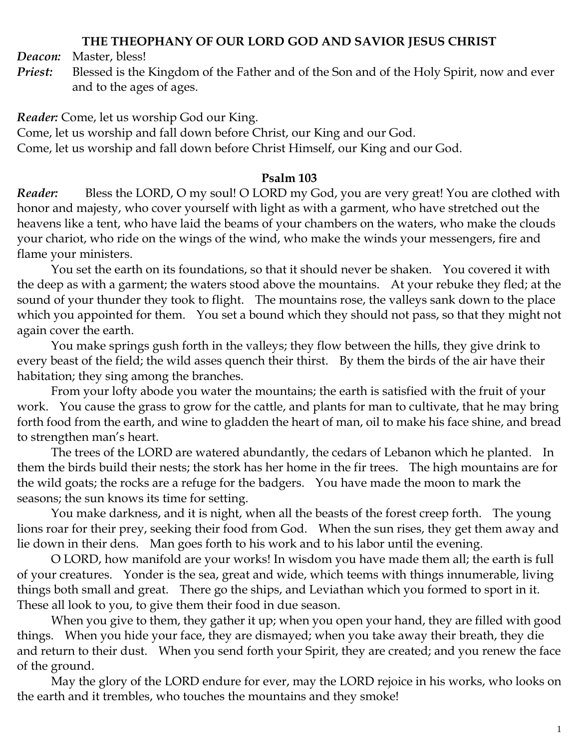# **THE THEOPHANY OF OUR LORD GOD AND SAVIOR JESUS CHRIST**

*Deacon:* Master, bless!

*Priest:* Blessed is the Kingdom of the Father and of the Son and of the Holy Spirit, now and ever and to the ages of ages.

*Reader:* Come, let us worship God our King.

Come, let us worship and fall down before Christ, our King and our God.

Come, let us worship and fall down before Christ Himself, our King and our God.

## **Psalm 103**

*Reader:* Bless the LORD, O my soul! O LORD my God, you are very great! You are clothed with honor and majesty, who cover yourself with light as with a garment, who have stretched out the heavens like a tent, who have laid the beams of your chambers on the waters, who make the clouds your chariot, who ride on the wings of the wind, who make the winds your messengers, fire and flame your ministers.

You set the earth on its foundations, so that it should never be shaken. You covered it with the deep as with a garment; the waters stood above the mountains. At your rebuke they fled; at the sound of your thunder they took to flight. The mountains rose, the valleys sank down to the place which you appointed for them. You set a bound which they should not pass, so that they might not again cover the earth.

You make springs gush forth in the valleys; they flow between the hills, they give drink to every beast of the field; the wild asses quench their thirst. By them the birds of the air have their habitation; they sing among the branches.

From your lofty abode you water the mountains; the earth is satisfied with the fruit of your work. You cause the grass to grow for the cattle, and plants for man to cultivate, that he may bring forth food from the earth, and wine to gladden the heart of man, oil to make his face shine, and bread to strengthen man's heart.

The trees of the LORD are watered abundantly, the cedars of Lebanon which he planted. In them the birds build their nests; the stork has her home in the fir trees. The high mountains are for the wild goats; the rocks are a refuge for the badgers. You have made the moon to mark the seasons; the sun knows its time for setting.

You make darkness, and it is night, when all the beasts of the forest creep forth. The young lions roar for their prey, seeking their food from God. When the sun rises, they get them away and lie down in their dens. Man goes forth to his work and to his labor until the evening.

O LORD, how manifold are your works! In wisdom you have made them all; the earth is full of your creatures. Yonder is the sea, great and wide, which teems with things innumerable, living things both small and great. There go the ships, and Leviathan which you formed to sport in it. These all look to you, to give them their food in due season.

When you give to them, they gather it up; when you open your hand, they are filled with good things. When you hide your face, they are dismayed; when you take away their breath, they die and return to their dust. When you send forth your Spirit, they are created; and you renew the face of the ground.

May the glory of the LORD endure for ever, may the LORD rejoice in his works, who looks on the earth and it trembles, who touches the mountains and they smoke!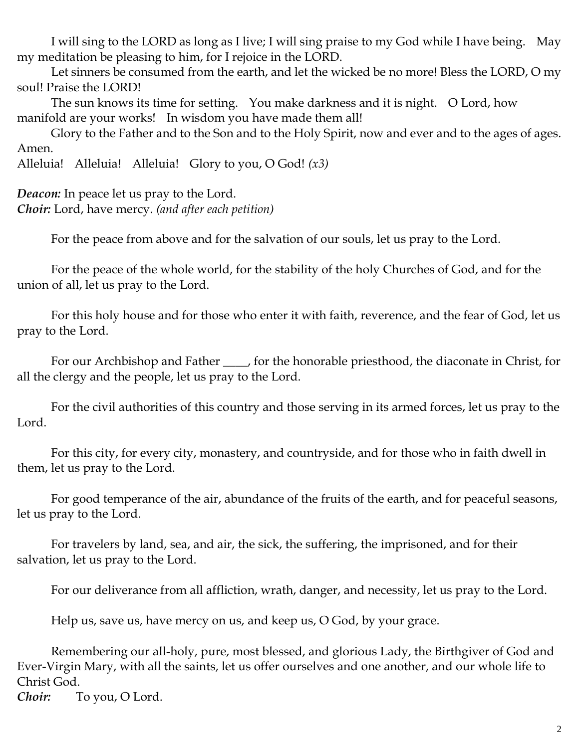I will sing to the LORD as long as I live; I will sing praise to my God while I have being. May my meditation be pleasing to him, for I rejoice in the LORD.

Let sinners be consumed from the earth, and let the wicked be no more! Bless the LORD, O my soul! Praise the LORD!

The sun knows its time for setting. You make darkness and it is night. O Lord, how manifold are your works! In wisdom you have made them all!

Glory to the Father and to the Son and to the Holy Spirit, now and ever and to the ages of ages. Amen.

Alleluia! Alleluia! Alleluia! Glory to you, O God! *(x3)*

*Deacon:* In peace let us pray to the Lord. *Choir:* Lord, have mercy. *(and after each petition)*

For the peace from above and for the salvation of our souls, let us pray to the Lord.

For the peace of the whole world, for the stability of the holy Churches of God, and for the union of all, let us pray to the Lord.

For this holy house and for those who enter it with faith, reverence, and the fear of God, let us pray to the Lord.

For our Archbishop and Father \_\_\_\_, for the honorable priesthood, the diaconate in Christ, for all the clergy and the people, let us pray to the Lord.

For the civil authorities of this country and those serving in its armed forces, let us pray to the Lord.

For this city, for every city, monastery, and countryside, and for those who in faith dwell in them, let us pray to the Lord.

For good temperance of the air, abundance of the fruits of the earth, and for peaceful seasons, let us pray to the Lord.

For travelers by land, sea, and air, the sick, the suffering, the imprisoned, and for their salvation, let us pray to the Lord.

For our deliverance from all affliction, wrath, danger, and necessity, let us pray to the Lord.

Help us, save us, have mercy on us, and keep us, O God, by your grace.

Remembering our all-holy, pure, most blessed, and glorious Lady, the Birthgiver of God and Ever-Virgin Mary, with all the saints, let us offer ourselves and one another, and our whole life to Christ God.

*Choir:* To you, O Lord.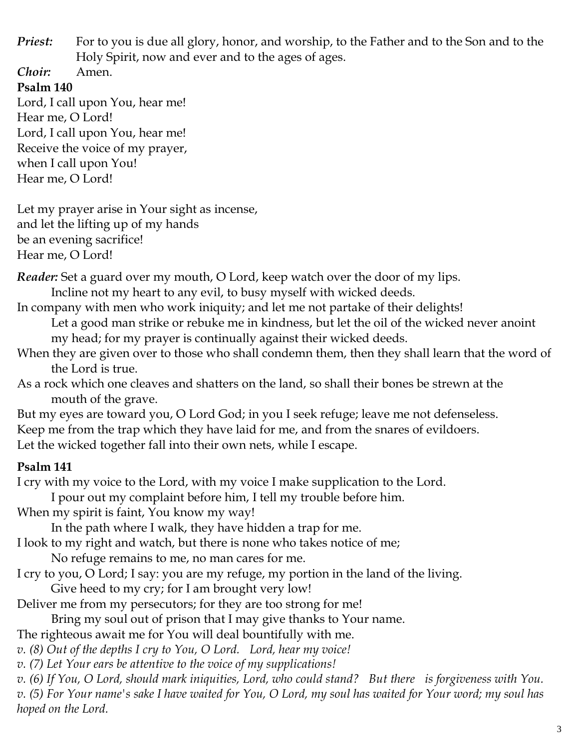*Priest:* For to you is due all glory, honor, and worship, to the Father and to the Son and to the Holy Spirit, now and ever and to the ages of ages.

# *Choir:* Amen.

## **Psalm 140**

Lord, I call upon You, hear me! Hear me, O Lord! Lord, I call upon You, hear me! Receive the voice of my prayer, when I call upon You! Hear me, O Lord!

Let my prayer arise in Your sight as incense, and let the lifting up of my hands be an evening sacrifice! Hear me, O Lord!

*Reader:* Set a guard over my mouth, O Lord, keep watch over the door of my lips. Incline not my heart to any evil, to busy myself with wicked deeds.

- In company with men who work iniquity; and let me not partake of their delights! Let a good man strike or rebuke me in kindness, but let the oil of the wicked never anoint my head; for my prayer is continually against their wicked deeds.
- When they are given over to those who shall condemn them, then they shall learn that the word of the Lord is true.
- As a rock which one cleaves and shatters on the land, so shall their bones be strewn at the mouth of the grave.
- But my eyes are toward you, O Lord God; in you I seek refuge; leave me not defenseless. Keep me from the trap which they have laid for me, and from the snares of evildoers. Let the wicked together fall into their own nets, while I escape.

## **Psalm 141**

I cry with my voice to the Lord, with my voice I make supplication to the Lord.

I pour out my complaint before him, I tell my trouble before him.

When my spirit is faint, You know my way!

In the path where I walk, they have hidden a trap for me.

- I look to my right and watch, but there is none who takes notice of me;
	- No refuge remains to me, no man cares for me.
- I cry to you, O Lord; I say: you are my refuge, my portion in the land of the living.

Give heed to my cry; for I am brought very low!

Deliver me from my persecutors; for they are too strong for me!

Bring my soul out of prison that I may give thanks to Your name.

The righteous await me for You will deal bountifully with me.

*v. (8) Out of the depths I cry to You, O Lord. Lord, hear my voice!*

*v. (7) Let Your ears be attentive to the voice of my supplications!*

*v. (6) If You, O Lord, should mark iniquities, Lord, who could stand? But there is forgiveness with You. v. (5) For Your name's sake I have waited for You, O Lord, my soul has waited for Your word; my soul has hoped on the Lord.*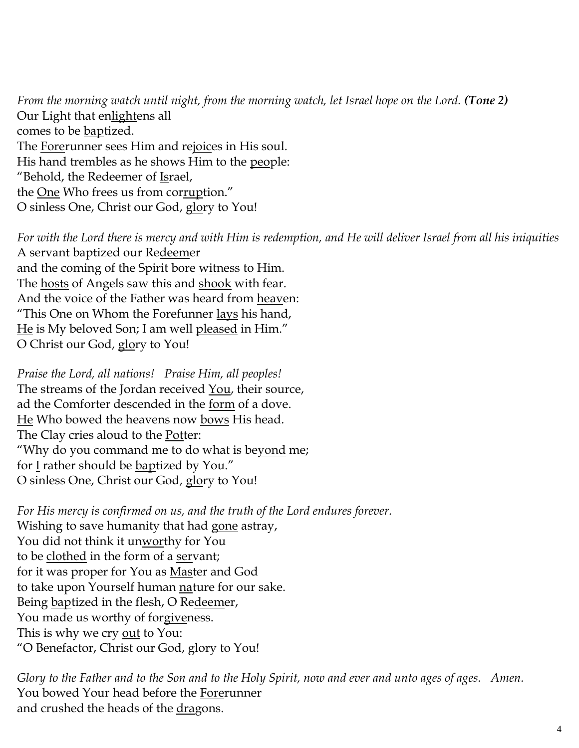*From the morning watch until night, from the morning watch, let Israel hope on the Lord. (Tone 2)* Our Light that enlightens all comes to be baptized. The Forerunner sees Him and rejoices in His soul. His hand trembles as he shows Him to the people: "Behold, the Redeemer of Israel, the One Who frees us from corruption." O sinless One, Christ our God, glory to You!

*For with the Lord there is mercy and with Him is redemption, and He will deliver Israel from all his iniquities* A servant baptized our Redeemer and the coming of the Spirit bore witness to Him. The hosts of Angels saw this and shook with fear. And the voice of the Father was heard from heaven: "This One on Whom the Forefunner lays his hand, He is My beloved Son; I am well pleased in Him." O Christ our God, glory to You!

*Praise the Lord, all nations! Praise Him, all peoples!* The streams of the Jordan received You, their source, ad the Comforter descended in the form of a dove. He Who bowed the heavens now bows His head. The Clay cries aloud to the <u>Pot</u>ter: "Why do you command me to do what is beyond me; for  $I$  rather should be baptized by You." O sinless One, Christ our God, glory to You!

*For His mercy is confirmed on us, and the truth of the Lord endures forever.* Wishing to save humanity that had gone astray, You did not think it unworthy for You to be clothed in the form of a servant; for it was proper for You as Master and God to take upon Yourself human nature for our sake. Being baptized in the flesh, O Redeemer, You made us worthy of forgiveness. This is why we cry out to You: "O Benefactor, Christ our God, glory to You!

*Glory to the Father and to the Son and to the Holy Spirit, now and ever and unto ages of ages. Amen.*  You bowed Your head before the Forerunner and crushed the heads of the dragons.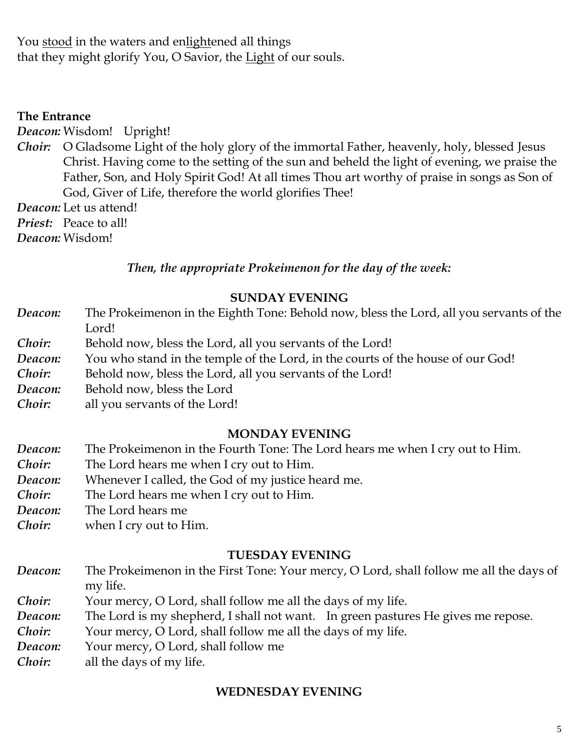You stood in the waters and enlightened all things that they might glorify You, O Savior, the Light of our souls.

#### **The Entrance**

*Deacon:* Wisdom! Upright!

*Choir:* O Gladsome Light of the holy glory of the immortal Father, heavenly, holy, blessed Jesus Christ. Having come to the setting of the sun and beheld the light of evening, we praise the Father, Son, and Holy Spirit God! At all times Thou art worthy of praise in songs as Son of God, Giver of Life, therefore the world glorifies Thee!

*Deacon:* Let us attend!

*Priest:* Peace to all!

*Deacon:* Wisdom!

### *Then, the appropriate Prokeimenon for the day of the week:*

#### **SUNDAY EVENING**

- *Deacon:* The Prokeimenon in the Eighth Tone: Behold now, bless the Lord, all you servants of the Lord!
- *Choir:* Behold now, bless the Lord, all you servants of the Lord!
- *Deacon:* You who stand in the temple of the Lord, in the courts of the house of our God!
- *Choir:* Behold now, bless the Lord, all you servants of the Lord!
- *Deacon:* Behold now, bless the Lord
- *Choir:* all you servants of the Lord!

#### **MONDAY EVENING**

- *Deacon:* The Prokeimenon in the Fourth Tone: The Lord hears me when I cry out to Him.
- *Choir:* The Lord hears me when I cry out to Him.
- *Deacon:* Whenever I called, the God of my justice heard me.
- *Choir:* The Lord hears me when I cry out to Him.
- *Deacon:* The Lord hears me
- *Choir:* when I cry out to Him.

#### **TUESDAY EVENING**

- *Deacon:* The Prokeimenon in the First Tone: Your mercy, O Lord, shall follow me all the days of my life.
- *Choir:* Your mercy, O Lord, shall follow me all the days of my life.
- *Deacon:* The Lord is my shepherd, I shall not want. In green pastures He gives me repose.
- *Choir:* Your mercy, O Lord, shall follow me all the days of my life.
- *Deacon:* Your mercy, O Lord, shall follow me
- *Choir:* all the days of my life.

## **WEDNESDAY EVENING**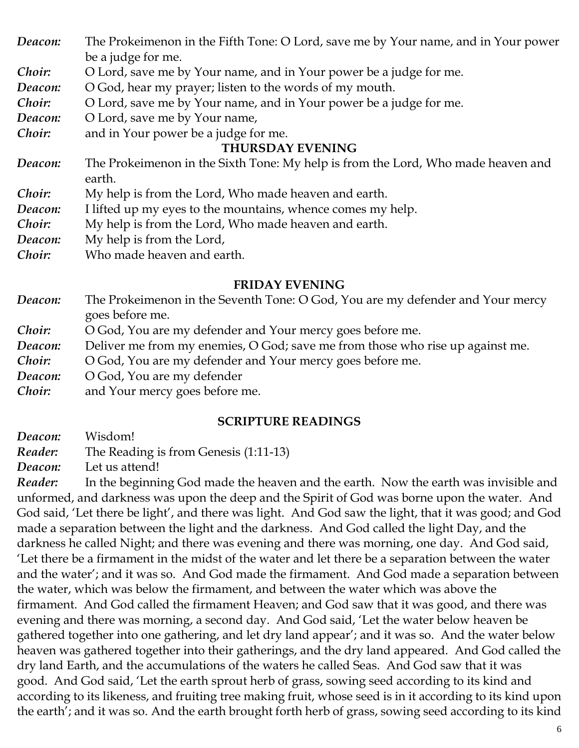- *Deacon:* The Prokeimenon in the Fifth Tone: O Lord, save me by Your name, and in Your power be a judge for me.
- *Choir:* O Lord, save me by Your name, and in Your power be a judge for me.
- *Deacon:* O God, hear my prayer; listen to the words of my mouth.
- *Choir:* O Lord, save me by Your name, and in Your power be a judge for me.
- *Deacon:* O Lord, save me by Your name,
- *Choir:* and in Your power be a judge for me.

### **THURSDAY EVENING**

- *Deacon:* The Prokeimenon in the Sixth Tone: My help is from the Lord, Who made heaven and earth.
- *Choir:* My help is from the Lord, Who made heaven and earth.
- *Deacon:* I lifted up my eyes to the mountains, whence comes my help.
- *Choir:* My help is from the Lord, Who made heaven and earth.
- *Deacon:* My help is from the Lord,
- *Choir:* Who made heaven and earth.

#### **FRIDAY EVENING**

- *Deacon:* The Prokeimenon in the Seventh Tone: O God, You are my defender and Your mercy goes before me.
- *Choir:* O God, You are my defender and Your mercy goes before me.
- *Deacon:* Deliver me from my enemies, O God; save me from those who rise up against me.
- *Choir:* O God, You are my defender and Your mercy goes before me.
- *Deacon:* O God, You are my defender
- *Choir:* and Your mercy goes before me.

#### **SCRIPTURE READINGS**

*Deacon:* Wisdom!

*Reader:* The Reading is from Genesis (1:11-13)

*Deacon:* Let us attend!

*Reader:* In the beginning God made the heaven and the earth. Now the earth was invisible and unformed, and darkness was upon the deep and the Spirit of God was borne upon the water. And God said, 'Let there be light', and there was light. And God saw the light, that it was good; and God made a separation between the light and the darkness. And God called the light Day, and the darkness he called Night; and there was evening and there was morning, one day. And God said, 'Let there be a firmament in the midst of the water and let there be a separation between the water and the water'; and it was so. And God made the firmament. And God made a separation between the water, which was below the firmament, and between the water which was above the firmament. And God called the firmament Heaven; and God saw that it was good, and there was evening and there was morning, a second day. And God said, 'Let the water below heaven be gathered together into one gathering, and let dry land appear'; and it was so. And the water below heaven was gathered together into their gatherings, and the dry land appeared. And God called the dry land Earth, and the accumulations of the waters he called Seas. And God saw that it was good. And God said, 'Let the earth sprout herb of grass, sowing seed according to its kind and according to its likeness, and fruiting tree making fruit, whose seed is in it according to its kind upon the earth'; and it was so. And the earth brought forth herb of grass, sowing seed according to its kind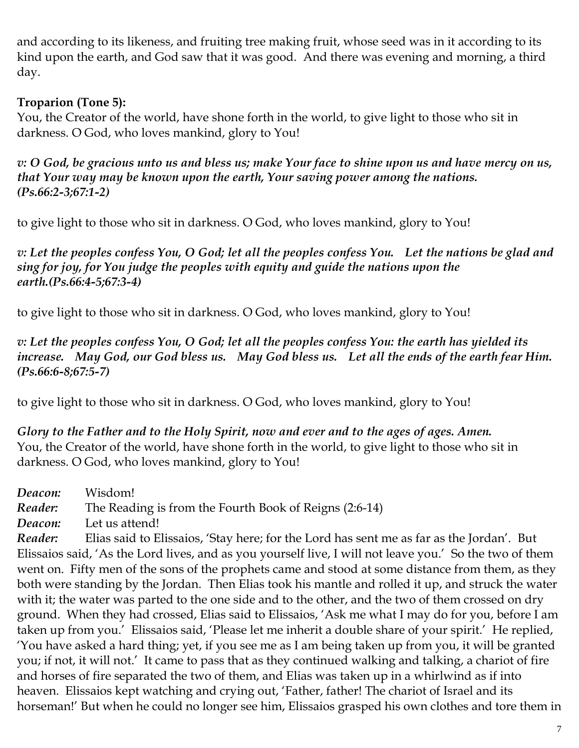and according to its likeness, and fruiting tree making fruit, whose seed was in it according to its kind upon the earth, and God saw that it was good. And there was evening and morning, a third day.

# **Troparion (Tone 5):**

You, the Creator of the world, have shone forth in the world, to give light to those who sit in darkness. O God, who loves mankind, glory to You!

*v: O God, be gracious unto us and bless us; make Your face to shine upon us and have mercy on us, that Your way may be known upon the earth, Your saving power among the nations. (Ps.66:2-3;67:1-2)*

to give light to those who sit in darkness. O God, who loves mankind, glory to You!

*v: Let the peoples confess You, O God; let all the peoples confess You. Let the nations be glad and sing for joy, for You judge the peoples with equity and guide the nations upon the earth.(Ps.66:4-5;67:3-4)*

to give light to those who sit in darkness. O God, who loves mankind, glory to You!

*v: Let the peoples confess You, O God; let all the peoples confess You: the earth has yielded its increase. May God, our God bless us. May God bless us. Let all the ends of the earth fear Him. (Ps.66:6-8;67:5-7)*

to give light to those who sit in darkness. O God, who loves mankind, glory to You!

*Glory to the Father and to the Holy Spirit, now and ever and to the ages of ages. Amen.* You, the Creator of the world, have shone forth in the world, to give light to those who sit in darkness. O God, who loves mankind, glory to You!

*Deacon:* Wisdom!

*Reader:* The Reading is from the Fourth Book of Reigns (2:6-14)

*Deacon:* Let us attend!

*Reader:* Elias said to Elissaios, 'Stay here; for the Lord has sent me as far as the Jordan'. But Elissaios said, 'As the Lord lives, and as you yourself live, I will not leave you.' So the two of them went on. Fifty men of the sons of the prophets came and stood at some distance from them, as they both were standing by the Jordan. Then Elias took his mantle and rolled it up, and struck the water with it; the water was parted to the one side and to the other, and the two of them crossed on dry ground. When they had crossed, Elias said to Elissaios, 'Ask me what I may do for you, before I am taken up from you.' Elissaios said, 'Please let me inherit a double share of your spirit.' He replied, 'You have asked a hard thing; yet, if you see me as I am being taken up from you, it will be granted you; if not, it will not.' It came to pass that as they continued walking and talking, a chariot of fire and horses of fire separated the two of them, and Elias was taken up in a whirlwind as if into heaven. Elissaios kept watching and crying out, 'Father, father! The chariot of Israel and its horseman!' But when he could no longer see him, Elissaios grasped his own clothes and tore them in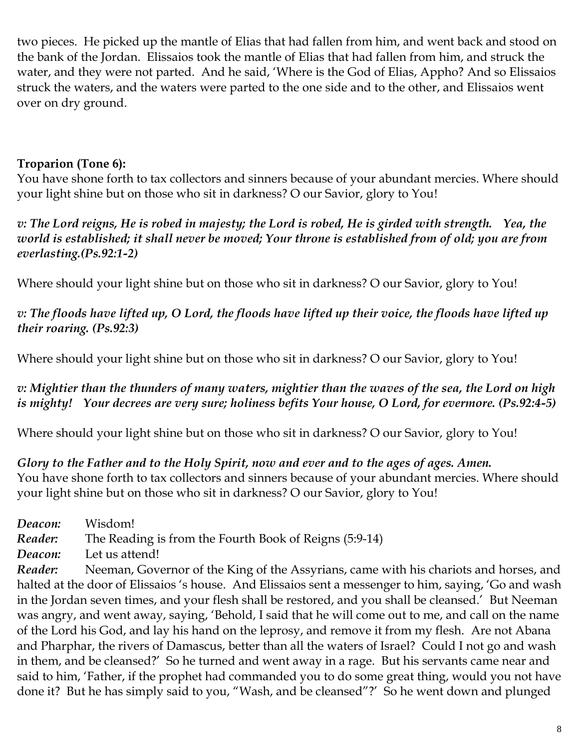two pieces. He picked up the mantle of Elias that had fallen from him, and went back and stood on the bank of the Jordan. Elissaios took the mantle of Elias that had fallen from him, and struck the water, and they were not parted. And he said, 'Where is the God of Elias, Appho? And so Elissaios struck the waters, and the waters were parted to the one side and to the other, and Elissaios went over on dry ground.

# **Troparion (Tone 6):**

You have shone forth to tax collectors and sinners because of your abundant mercies. Where should your light shine but on those who sit in darkness? O our Savior, glory to You!

*v: The Lord reigns, He is robed in majesty; the Lord is robed, He is girded with strength. Yea, the world is established; it shall never be moved; Your throne is established from of old; you are from everlasting.(Ps.92:1-2)*

Where should your light shine but on those who sit in darkness? O our Savior, glory to You!

## *v: The floods have lifted up, O Lord, the floods have lifted up their voice, the floods have lifted up their roaring. (Ps.92:3)*

Where should your light shine but on those who sit in darkness? O our Savior, glory to You!

# *v: Mightier than the thunders of many waters, mightier than the waves of the sea, the Lord on high is mighty! Your decrees are very sure; holiness befits Your house, O Lord, for evermore. (Ps.92:4-5)*

Where should your light shine but on those who sit in darkness? O our Savior, glory to You!

## *Glory to the Father and to the Holy Spirit, now and ever and to the ages of ages. Amen.*

You have shone forth to tax collectors and sinners because of your abundant mercies. Where should your light shine but on those who sit in darkness? O our Savior, glory to You!

*Deacon:* Wisdom!

*Reader:* The Reading is from the Fourth Book of Reigns (5:9-14)

*Deacon:* Let us attend!

*Reader:* Neeman, Governor of the King of the Assyrians, came with his chariots and horses, and halted at the door of Elissaios 's house. And Elissaios sent a messenger to him, saying, 'Go and wash in the Jordan seven times, and your flesh shall be restored, and you shall be cleansed.' But Neeman was angry, and went away, saying, 'Behold, I said that he will come out to me, and call on the name of the Lord his God, and lay his hand on the leprosy, and remove it from my flesh. Are not Abana and Pharphar, the rivers of Damascus, better than all the waters of Israel? Could I not go and wash in them, and be cleansed?' So he turned and went away in a rage. But his servants came near and said to him, 'Father, if the prophet had commanded you to do some great thing, would you not have done it? But he has simply said to you, "Wash, and be cleansed"?' So he went down and plunged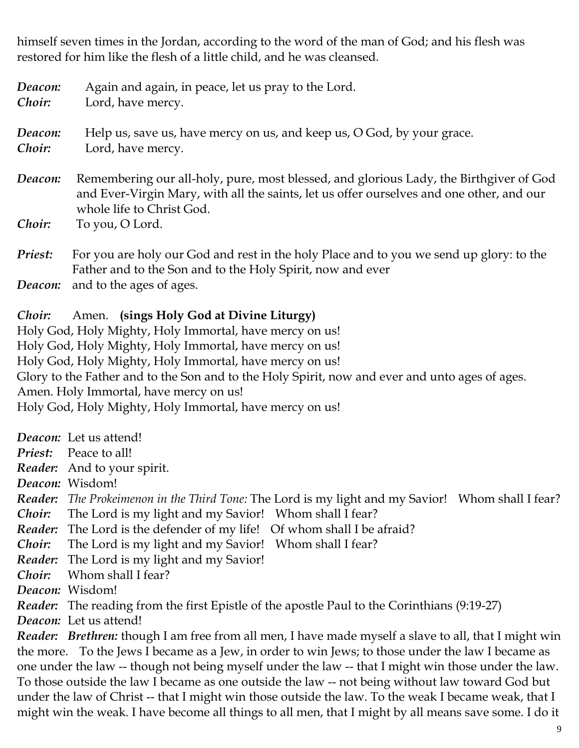himself seven times in the Jordan, according to the word of the man of God; and his flesh was restored for him like the flesh of a little child, and he was cleansed.

| Deacon:<br>Choir: | Again and again, in peace, let us pray to the Lord.<br>Lord, have mercy.                                                                                                                                        |
|-------------------|-----------------------------------------------------------------------------------------------------------------------------------------------------------------------------------------------------------------|
| Deacon:<br>Choir: | Help us, save us, have mercy on us, and keep us, O God, by your grace.<br>Lord, have mercy.                                                                                                                     |
| Deacon:           | Remembering our all-holy, pure, most blessed, and glorious Lady, the Birthgiver of God<br>and Ever-Virgin Mary, with all the saints, let us offer ourselves and one other, and our<br>whole life to Christ God. |
| Choir:            | To you, O Lord.                                                                                                                                                                                                 |
| Priest:           | For you are holy our God and rest in the holy Place and to you we send up glory: to the                                                                                                                         |

Father and to the Son and to the Holy Spirit, now and ever *Deacon:* and to the ages of ages.

# *Choir:* Amen. **(sings Holy God at Divine Liturgy)**

Holy God, Holy Mighty, Holy Immortal, have mercy on us! Holy God, Holy Mighty, Holy Immortal, have mercy on us! Holy God, Holy Mighty, Holy Immortal, have mercy on us! Glory to the Father and to the Son and to the Holy Spirit, now and ever and unto ages of ages. Amen. Holy Immortal, have mercy on us! Holy God, Holy Mighty, Holy Immortal, have mercy on us!

*Deacon:* Let us attend!

*Priest:* Peace to all!

*Reader:* And to your spirit.

*Deacon:* Wisdom!

*Reader: The Prokeimenon in the Third Tone:* The Lord is my light and my Savior! Whom shall I fear?

*Choir:* The Lord is my light and my Savior! Whom shall I fear?

*Reader:* The Lord is the defender of my life! Of whom shall I be afraid?

*Choir:* The Lord is my light and my Savior! Whom shall I fear?

*Reader:* The Lord is my light and my Savior!

*Choir:* Whom shall I fear?

*Deacon:* Wisdom!

*Reader:* The reading from the first Epistle of the apostle Paul to the Corinthians (9:19-27)

*Deacon:* Let us attend!

*Reader: Brethren:* though I am free from all men, I have made myself a slave to all, that I might win the more. To the Jews I became as a Jew, in order to win Jews; to those under the law I became as one under the law -- though not being myself under the law -- that I might win those under the law. To those outside the law I became as one outside the law -- not being without law toward God but under the law of Christ -- that I might win those outside the law. To the weak I became weak, that I might win the weak. I have become all things to all men, that I might by all means save some. I do it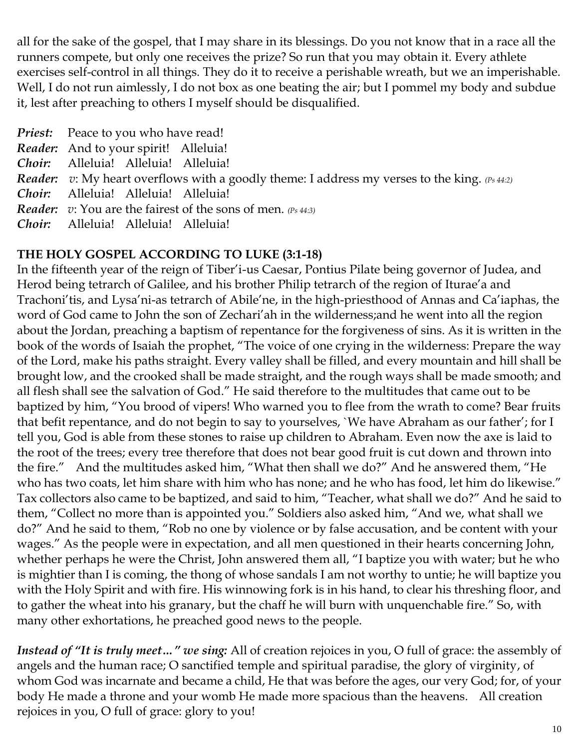all for the sake of the gospel, that I may share in its blessings. Do you not know that in a race all the runners compete, but only one receives the prize? So run that you may obtain it. Every athlete exercises self-control in all things. They do it to receive a perishable wreath, but we an imperishable. Well, I do not run aimlessly, I do not box as one beating the air; but I pommel my body and subdue it, lest after preaching to others I myself should be disqualified.

- *Priest:* Peace to you who have read!
- *Reader:* And to your spirit! Alleluia!
- *Choir:* Alleluia! Alleluia! Alleluia!
- *Reader: v*: My heart overflows with a goodly theme: I address my verses to the king. *(Ps 44:2)*
- *Choir:* Alleluia! Alleluia! Alleluia!
- *Reader: v*: You are the fairest of the sons of men. *(Ps 44:3)*
- *Choir:* Alleluia! Alleluia! Alleluia!

# **THE HOLY GOSPEL ACCORDING TO LUKE (3:1-18)**

In the fifteenth year of the reign of Tiber'i-us Caesar, Pontius Pilate being governor of Judea, and Herod being tetrarch of Galilee, and his brother Philip tetrarch of the region of Iturae'a and Trachoni'tis, and Lysa'ni-as tetrarch of Abile'ne, in the high-priesthood of Annas and Ca'iaphas, the word of God came to John the son of Zechari'ah in the wilderness;and he went into all the region about the Jordan, preaching a baptism of repentance for the forgiveness of sins. As it is written in the book of the words of Isaiah the prophet, "The voice of one crying in the wilderness: Prepare the way of the Lord, make his paths straight. Every valley shall be filled, and every mountain and hill shall be brought low, and the crooked shall be made straight, and the rough ways shall be made smooth; and all flesh shall see the salvation of God." He said therefore to the multitudes that came out to be baptized by him, "You brood of vipers! Who warned you to flee from the wrath to come? Bear fruits that befit repentance, and do not begin to say to yourselves, `We have Abraham as our father'; for I tell you, God is able from these stones to raise up children to Abraham. Even now the axe is laid to the root of the trees; every tree therefore that does not bear good fruit is cut down and thrown into the fire." And the multitudes asked him, "What then shall we do?" And he answered them, "He who has two coats, let him share with him who has none; and he who has food, let him do likewise." Tax collectors also came to be baptized, and said to him, "Teacher, what shall we do?" And he said to them, "Collect no more than is appointed you." Soldiers also asked him, "And we, what shall we do?" And he said to them, "Rob no one by violence or by false accusation, and be content with your wages." As the people were in expectation, and all men questioned in their hearts concerning John, whether perhaps he were the Christ, John answered them all, "I baptize you with water; but he who is mightier than I is coming, the thong of whose sandals I am not worthy to untie; he will baptize you with the Holy Spirit and with fire. His winnowing fork is in his hand, to clear his threshing floor, and to gather the wheat into his granary, but the chaff he will burn with unquenchable fire." So, with many other exhortations, he preached good news to the people.

*Instead of "It is truly meet…" we sing:* All of creation rejoices in you, O full of grace: the assembly of angels and the human race; O sanctified temple and spiritual paradise, the glory of virginity, of whom God was incarnate and became a child, He that was before the ages, our very God; for, of your body He made a throne and your womb He made more spacious than the heavens. All creation rejoices in you, O full of grace: glory to you!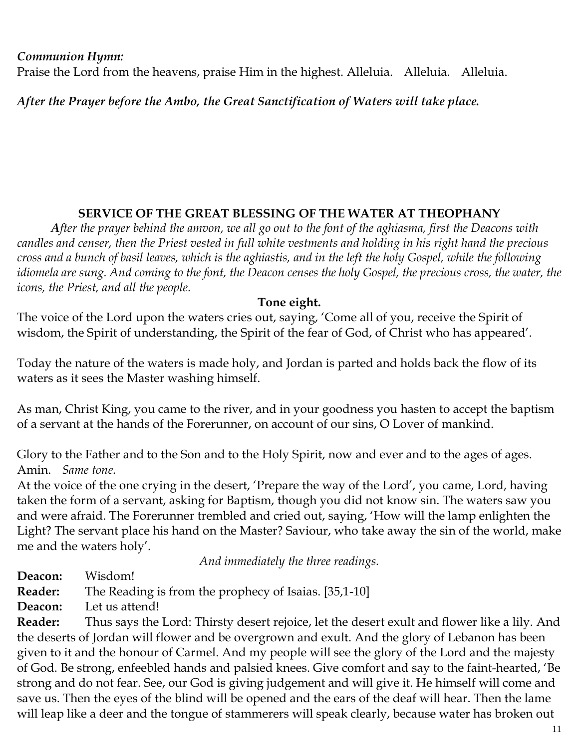#### *Communion Hymn:*

Praise the Lord from the heavens, praise Him in the highest. Alleluia. Alleluia. Alleluia.

*After the Prayer before the Ambo, the Great Sanctification of Waters will take place.* 

## **SERVICE OF THE GREAT BLESSING OF THE WATER AT THEOPHANY**

*After the prayer behind the amvon, we all go out to the font of the aghiasma, first the Deacons with candles and censer, then the Priest vested in full white vestments and holding in his right hand the precious cross and a bunch of basil leaves, which is the aghiastis, and in the left the holy Gospel, while the following idiomela are sung. And coming to the font, the Deacon censes the holy Gospel, the precious cross, the water, the icons, the Priest, and all the people.* 

### **Tone eight.**

The voice of the Lord upon the waters cries out, saying, 'Come all of you, receive the Spirit of wisdom, the Spirit of understanding, the Spirit of the fear of God, of Christ who has appeared'.

Today the nature of the waters is made holy, and Jordan is parted and holds back the flow of its waters as it sees the Master washing himself.

As man, Christ King, you came to the river, and in your goodness you hasten to accept the baptism of a servant at the hands of the Forerunner, on account of our sins, O Lover of mankind.

Glory to the Father and to the Son and to the Holy Spirit, now and ever and to the ages of ages. Amin. *Same tone.*

At the voice of the one crying in the desert, 'Prepare the way of the Lord', you came, Lord, having taken the form of a servant, asking for Baptism, though you did not know sin. The waters saw you and were afraid. The Forerunner trembled and cried out, saying, 'How will the lamp enlighten the Light? The servant place his hand on the Master? Saviour, who take away the sin of the world, make me and the waters holy'.

*And immediately the three readings.*

**Deacon:** Wisdom!

**Reader:** The Reading is from the prophecy of Isaias. [35,1-10]

**Deacon:** Let us attend!

**Reader:** Thus says the Lord: Thirsty desert rejoice, let the desert exult and flower like a lily. And the deserts of Jordan will flower and be overgrown and exult. And the glory of Lebanon has been given to it and the honour of Carmel. And my people will see the glory of the Lord and the majesty of God. Be strong, enfeebled hands and palsied knees. Give comfort and say to the faint-hearted, 'Be strong and do not fear. See, our God is giving judgement and will give it. He himself will come and save us. Then the eyes of the blind will be opened and the ears of the deaf will hear. Then the lame will leap like a deer and the tongue of stammerers will speak clearly, because water has broken out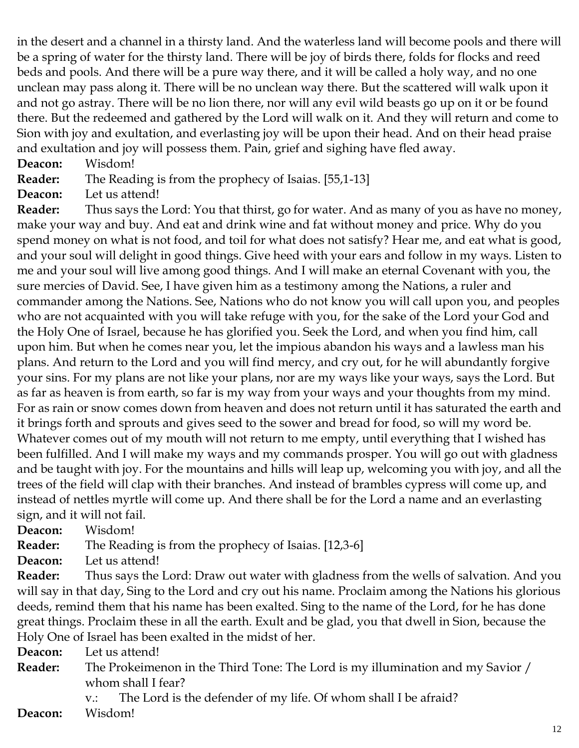in the desert and a channel in a thirsty land. And the waterless land will become pools and there will be a spring of water for the thirsty land. There will be joy of birds there, folds for flocks and reed beds and pools. And there will be a pure way there, and it will be called a holy way, and no one unclean may pass along it. There will be no unclean way there. But the scattered will walk upon it and not go astray. There will be no lion there, nor will any evil wild beasts go up on it or be found there. But the redeemed and gathered by the Lord will walk on it. And they will return and come to Sion with joy and exultation, and everlasting joy will be upon their head. And on their head praise and exultation and joy will possess them. Pain, grief and sighing have fled away.

**Deacon:** Wisdom!

**Reader:** The Reading is from the prophecy of Isaias. [55,1-13]

**Deacon:** Let us attend!

**Reader:** Thus says the Lord: You that thirst, go for water. And as many of you as have no money, make your way and buy. And eat and drink wine and fat without money and price. Why do you spend money on what is not food, and toil for what does not satisfy? Hear me, and eat what is good, and your soul will delight in good things. Give heed with your ears and follow in my ways. Listen to me and your soul will live among good things. And I will make an eternal Covenant with you, the sure mercies of David. See, I have given him as a testimony among the Nations, a ruler and commander among the Nations. See, Nations who do not know you will call upon you, and peoples who are not acquainted with you will take refuge with you, for the sake of the Lord your God and the Holy One of Israel, because he has glorified you. Seek the Lord, and when you find him, call upon him. But when he comes near you, let the impious abandon his ways and a lawless man his plans. And return to the Lord and you will find mercy, and cry out, for he will abundantly forgive your sins. For my plans are not like your plans, nor are my ways like your ways, says the Lord. But as far as heaven is from earth, so far is my way from your ways and your thoughts from my mind. For as rain or snow comes down from heaven and does not return until it has saturated the earth and it brings forth and sprouts and gives seed to the sower and bread for food, so will my word be. Whatever comes out of my mouth will not return to me empty, until everything that I wished has been fulfilled. And I will make my ways and my commands prosper. You will go out with gladness and be taught with joy. For the mountains and hills will leap up, welcoming you with joy, and all the trees of the field will clap with their branches. And instead of brambles cypress will come up, and instead of nettles myrtle will come up. And there shall be for the Lord a name and an everlasting sign, and it will not fail.

**Deacon:** Wisdom!

**Reader:** The Reading is from the prophecy of Isaias. [12,3-6]

**Deacon:** Let us attend!

**Reader:** Thus says the Lord: Draw out water with gladness from the wells of salvation. And you will say in that day, Sing to the Lord and cry out his name. Proclaim among the Nations his glorious deeds, remind them that his name has been exalted. Sing to the name of the Lord, for he has done great things. Proclaim these in all the earth. Exult and be glad, you that dwell in Sion, because the Holy One of Israel has been exalted in the midst of her.

**Deacon:** Let us attend!

**Reader:** The Prokeimenon in the Third Tone: The Lord is my illumination and my Savior / whom shall I fear?

v.: The Lord is the defender of my life. Of whom shall I be afraid? **Deacon:** Wisdom!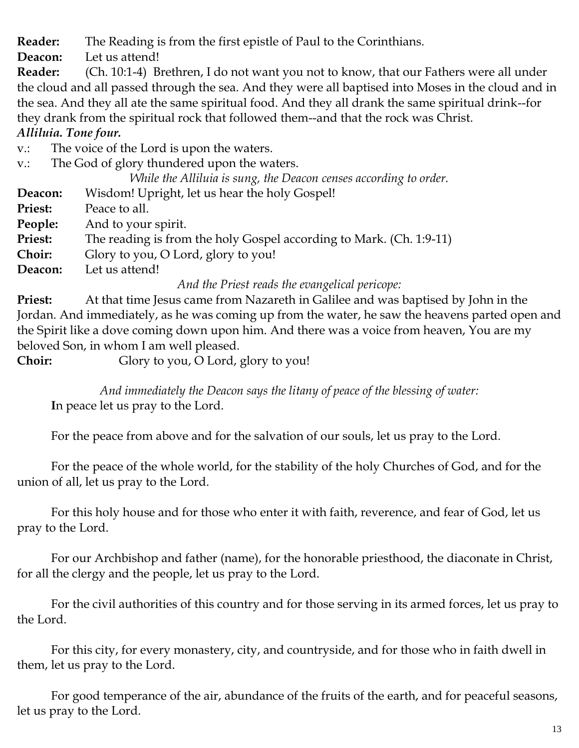**Reader:** The Reading is from the first epistle of Paul to the Corinthians.

**Deacon:** Let us attend!

**Reader:** (Ch. 10:1-4) Brethren, I do not want you not to know, that our Fathers were all under the cloud and all passed through the sea. And they were all baptised into Moses in the cloud and in the sea. And they all ate the same spiritual food. And they all drank the same spiritual drink--for they drank from the spiritual rock that followed them--and that the rock was Christ. *Alliluia. Tone four.*

v.: The voice of the Lord is upon the waters.

v.: The God of glory thundered upon the waters.

*While the Alliluia is sung, the Deacon censes according to order.*

**Deacon:** Wisdom! Upright, let us hear the holy Gospel!

**Priest:** Peace to all.

**People:** And to your spirit.

**Priest:** The reading is from the holy Gospel according to Mark. (Ch. 1:9-11)

**Choir:** Glory to you, O Lord, glory to you!

**Deacon:** Let us attend!

*And the Priest reads the evangelical pericope:*

**Priest:** At that time Jesus came from Nazareth in Galilee and was baptised by John in the Jordan. And immediately, as he was coming up from the water, he saw the heavens parted open and the Spirit like a dove coming down upon him. And there was a voice from heaven, You are my beloved Son, in whom I am well pleased.

**Choir:** Glory to you, O Lord, glory to you!

*And immediately the Deacon says the litany of peace of the blessing of water:* **I**n peace let us pray to the Lord.

For the peace from above and for the salvation of our souls, let us pray to the Lord.

For the peace of the whole world, for the stability of the holy Churches of God, and for the union of all, let us pray to the Lord.

For this holy house and for those who enter it with faith, reverence, and fear of God, let us pray to the Lord.

For our Archbishop and father (name), for the honorable priesthood, the diaconate in Christ, for all the clergy and the people, let us pray to the Lord.

For the civil authorities of this country and for those serving in its armed forces, let us pray to the Lord.

For this city, for every monastery, city, and countryside, and for those who in faith dwell in them, let us pray to the Lord.

For good temperance of the air, abundance of the fruits of the earth, and for peaceful seasons, let us pray to the Lord.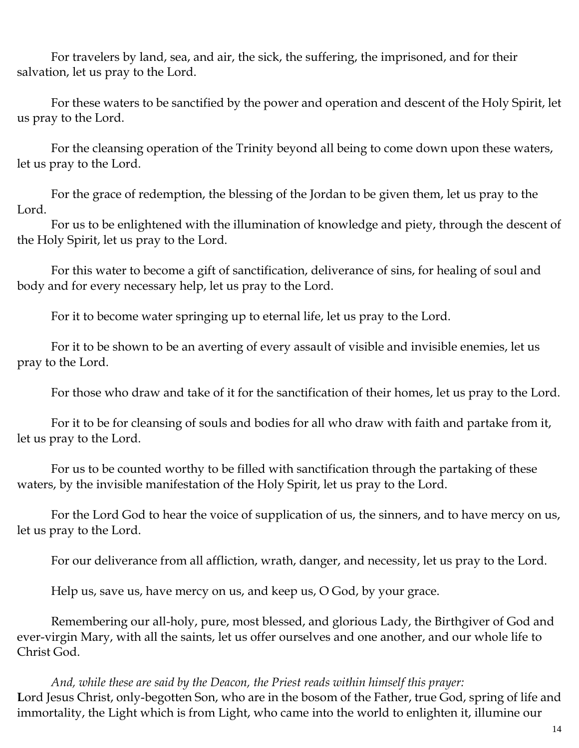For travelers by land, sea, and air, the sick, the suffering, the imprisoned, and for their salvation, let us pray to the Lord.

For these waters to be sanctified by the power and operation and descent of the Holy Spirit, let us pray to the Lord.

For the cleansing operation of the Trinity beyond all being to come down upon these waters, let us pray to the Lord.

For the grace of redemption, the blessing of the Jordan to be given them, let us pray to the Lord.

For us to be enlightened with the illumination of knowledge and piety, through the descent of the Holy Spirit, let us pray to the Lord.

For this water to become a gift of sanctification, deliverance of sins, for healing of soul and body and for every necessary help, let us pray to the Lord.

For it to become water springing up to eternal life, let us pray to the Lord.

For it to be shown to be an averting of every assault of visible and invisible enemies, let us pray to the Lord.

For those who draw and take of it for the sanctification of their homes, let us pray to the Lord.

For it to be for cleansing of souls and bodies for all who draw with faith and partake from it, let us pray to the Lord.

For us to be counted worthy to be filled with sanctification through the partaking of these waters, by the invisible manifestation of the Holy Spirit, let us pray to the Lord.

For the Lord God to hear the voice of supplication of us, the sinners, and to have mercy on us, let us pray to the Lord.

For our deliverance from all affliction, wrath, danger, and necessity, let us pray to the Lord.

Help us, save us, have mercy on us, and keep us, O God, by your grace.

Remembering our all-holy, pure, most blessed, and glorious Lady, the Birthgiver of God and ever-virgin Mary, with all the saints, let us offer ourselves and one another, and our whole life to Christ God.

*And, while these are said by the Deacon, the Priest reads within himself this prayer:* Lord Jesus Christ, only-begotten Son, who are in the bosom of the Father, true God, spring of life and immortality, the Light which is from Light, who came into the world to enlighten it, illumine our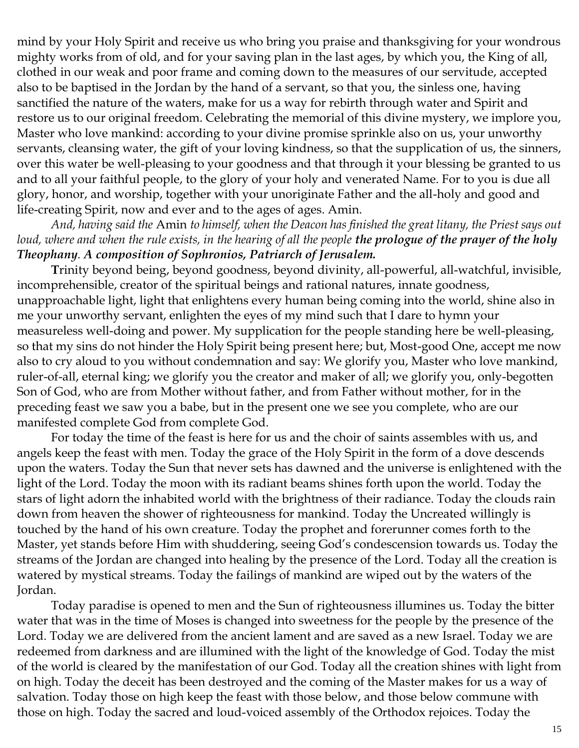mind by your Holy Spirit and receive us who bring you praise and thanksgiving for your wondrous mighty works from of old, and for your saving plan in the last ages, by which you, the King of all, clothed in our weak and poor frame and coming down to the measures of our servitude, accepted also to be baptised in the Jordan by the hand of a servant, so that you, the sinless one, having sanctified the nature of the waters, make for us a way for rebirth through water and Spirit and restore us to our original freedom. Celebrating the memorial of this divine mystery, we implore you, Master who love mankind: according to your divine promise sprinkle also on us, your unworthy servants, cleansing water, the gift of your loving kindness, so that the supplication of us, the sinners, over this water be well-pleasing to your goodness and that through it your blessing be granted to us and to all your faithful people, to the glory of your holy and venerated Name. For to you is due all glory, honor, and worship, together with your unoriginate Father and the all-holy and good and life-creating Spirit, now and ever and to the ages of ages. Amin.

*And, having said the* Amin *to himself, when the Deacon has finished the great litany, the Priest says out loud, where and when the rule exists, in the hearing of all the people the prologue of the prayer of the holy Theophany. A composition of Sophronios, Patriarch of Jerusalem.*

**T**rinity beyond being, beyond goodness, beyond divinity, all-powerful, all-watchful, invisible, incomprehensible, creator of the spiritual beings and rational natures, innate goodness, unapproachable light, light that enlightens every human being coming into the world, shine also in me your unworthy servant, enlighten the eyes of my mind such that I dare to hymn your measureless well-doing and power. My supplication for the people standing here be well-pleasing, so that my sins do not hinder the Holy Spirit being present here; but, Most-good One, accept me now also to cry aloud to you without condemnation and say: We glorify you, Master who love mankind, ruler-of-all, eternal king; we glorify you the creator and maker of all; we glorify you, only-begotten Son of God, who are from Mother without father, and from Father without mother, for in the preceding feast we saw you a babe, but in the present one we see you complete, who are our manifested complete God from complete God.

For today the time of the feast is here for us and the choir of saints assembles with us, and angels keep the feast with men. Today the grace of the Holy Spirit in the form of a dove descends upon the waters. Today the Sun that never sets has dawned and the universe is enlightened with the light of the Lord. Today the moon with its radiant beams shines forth upon the world. Today the stars of light adorn the inhabited world with the brightness of their radiance. Today the clouds rain down from heaven the shower of righteousness for mankind. Today the Uncreated willingly is touched by the hand of his own creature. Today the prophet and forerunner comes forth to the Master, yet stands before Him with shuddering, seeing God's condescension towards us. Today the streams of the Jordan are changed into healing by the presence of the Lord. Today all the creation is watered by mystical streams. Today the failings of mankind are wiped out by the waters of the Jordan.

Today paradise is opened to men and the Sun of righteousness illumines us. Today the bitter water that was in the time of Moses is changed into sweetness for the people by the presence of the Lord. Today we are delivered from the ancient lament and are saved as a new Israel. Today we are redeemed from darkness and are illumined with the light of the knowledge of God. Today the mist of the world is cleared by the manifestation of our God. Today all the creation shines with light from on high. Today the deceit has been destroyed and the coming of the Master makes for us a way of salvation. Today those on high keep the feast with those below, and those below commune with those on high. Today the sacred and loud-voiced assembly of the Orthodox rejoices. Today the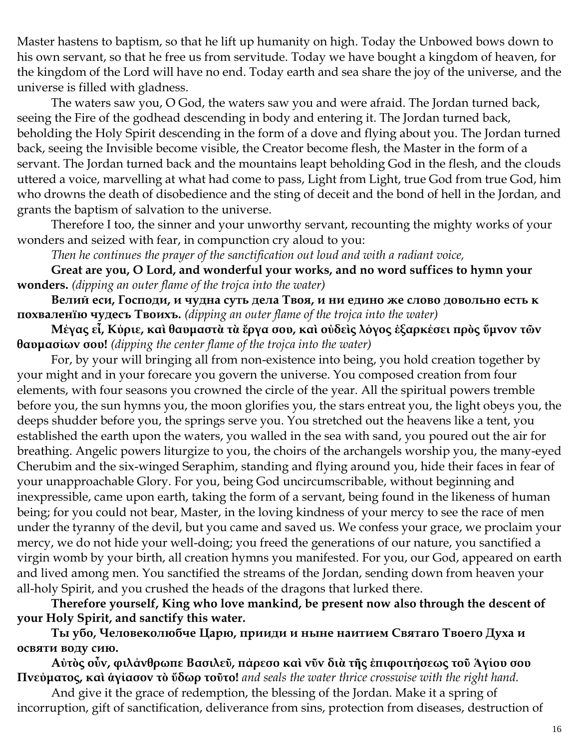Master hastens to baptism, so that he lift up humanity on high. Today the Unbowed bows down to his own servant, so that he free us from servitude. Today we have bought a kingdom of heaven, for the kingdom of the Lord will have no end. Today earth and sea share the joy of the universe, and the universe is filled with gladness.

The waters saw you, O God, the waters saw you and were afraid. The Jordan turned back, seeing the Fire of the godhead descending in body and entering it. The Jordan turned back, beholding the Holy Spirit descending in the form of a dove and flying about you. The Jordan turned back, seeing the Invisible become visible, the Creator become flesh, the Master in the form of a servant. The Jordan turned back and the mountains leapt beholding God in the flesh, and the clouds uttered a voice, marvelling at what had come to pass, Light from Light, true God from true God, him who drowns the death of disobedience and the sting of deceit and the bond of hell in the Jordan, and grants the baptism of salvation to the universe.

Therefore I too, the sinner and your unworthy servant, recounting the mighty works of your wonders and seized with fear, in compunction cry aloud to you:

*Then he continues the prayer of the sanctification out loud and with a radiant voice,*

**Great are you, O Lord, and wonderful your works, and no word suffices to hymn your wonders.** *(dipping an outer flame of the trojca into the water)*

**Велий еси, Господи, и чудна суть дела Твоя, и ни едино же слово довольно есть к похваленїю чудесъ Твоихъ.** *(dipping an outer flame of the trojca into the water)*

Μέγας εἶ, Κύριε, καὶ θαυμαστὰ τὰ ἔργα σου, καὶ οὐδεὶς λόγος ἐξαρκέσει πρὸς ὕμνον τῶν **θαυμασίων σου!** *(dipping the center flame of the trojca into the water)*

For, by your will bringing all from non-existence into being, you hold creation together by your might and in your forecare you govern the universe. You composed creation from four elements, with four seasons you crowned the circle of the year. All the spiritual powers tremble before you, the sun hymns you, the moon glorifies you, the stars entreat you, the light obeys you, the deeps shudder before you, the springs serve you. You stretched out the heavens like a tent, you established the earth upon the waters, you walled in the sea with sand, you poured out the air for breathing. Angelic powers liturgize to you, the choirs of the archangels worship you, the many-eyed Cherubim and the six-winged Seraphim, standing and flying around you, hide their faces in fear of your unapproachable Glory. For you, being God uncircumscribable, without beginning and inexpressible, came upon earth, taking the form of a servant, being found in the likeness of human being; for you could not bear, Master, in the loving kindness of your mercy to see the race of men under the tyranny of the devil, but you came and saved us. We confess your grace, we proclaim your mercy, we do not hide your well-doing; you freed the generations of our nature, you sanctified a virgin womb by your birth, all creation hymns you manifested. For you, our God, appeared on earth and lived among men. You sanctified the streams of the Jordan, sending down from heaven your all-holy Spirit, and you crushed the heads of the dragons that lurked there.

**Therefore yourself, King who love mankind, be present now also through the descent of your Holy Spirit, and sanctify this water.**

**Ты убо, Человеколюбче Царю, прииди и ныне наитием Святаго Твоего Духа и освяти воду сию.**

Αύτος οὖν, φιλάνθρωπε Βασιλεῦ, πάρεσο καὶ νῦν διὰ τῆς ἐπιφοιτήσεως τοῦ Ἀγίου σου **Πνεύματος, καὶ ἁγίασον τὸ ὕδωρ τοῦτο!** *and seals the water thrice crosswise with the right hand.*

And give it the grace of redemption, the blessing of the Jordan. Make it a spring of incorruption, gift of sanctification, deliverance from sins, protection from diseases, destruction of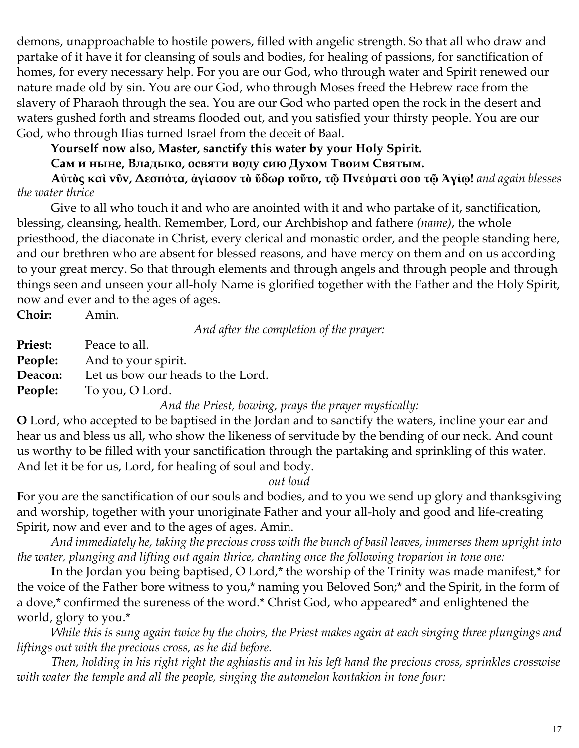demons, unapproachable to hostile powers, filled with angelic strength. So that all who draw and partake of it have it for cleansing of souls and bodies, for healing of passions, for sanctification of homes, for every necessary help. For you are our God, who through water and Spirit renewed our nature made old by sin. You are our God, who through Moses freed the Hebrew race from the slavery of Pharaoh through the sea. You are our God who parted open the rock in the desert and waters gushed forth and streams flooded out, and you satisfied your thirsty people. You are our God, who through Ilias turned Israel from the deceit of Baal.

# **Yourself now also, Master, sanctify this water by your Holy Spirit.**

**Сам и ныне, Владыко, освяти воду сию Духом Твоим Святым.**

Αύτος και νῦν, Δεσπότα, άγιασον το ύδωρ τοῦτο, τῷ Πνεύματι σου τῷ Άγιω! and again blesses *the water thrice*

Give to all who touch it and who are anointed with it and who partake of it, sanctification, blessing, cleansing, health. Remember, Lord, our Archbishop and fathere *(name)*, the whole priesthood, the diaconate in Christ, every clerical and monastic order, and the people standing here, and our brethren who are absent for blessed reasons, and have mercy on them and on us according to your great mercy. So that through elements and through angels and through people and through things seen and unseen your all-holy Name is glorified together with the Father and the Holy Spirit, now and ever and to the ages of ages.

**Choir:** Amin.

*And after the completion of the prayer:*

**Priest:** Peace to all.

**People:** And to your spirit.

**Deacon:** Let us bow our heads to the Lord.

**People:** To you, O Lord.

*And the Priest, bowing, prays the prayer mystically:*

**O** Lord, who accepted to be baptised in the Jordan and to sanctify the waters, incline your ear and hear us and bless us all, who show the likeness of servitude by the bending of our neck. And count us worthy to be filled with your sanctification through the partaking and sprinkling of this water. And let it be for us, Lord, for healing of soul and body.

*out loud*

**F**or you are the sanctification of our souls and bodies, and to you we send up glory and thanksgiving and worship, together with your unoriginate Father and your all-holy and good and life-creating Spirit, now and ever and to the ages of ages. Amin.

*And immediately he, taking the precious cross with the bunch of basil leaves, immerses them upright into the water, plunging and lifting out again thrice, chanting once the following troparion in tone one:*

**I**n the Jordan you being baptised, O Lord,\* the worship of the Trinity was made manifest,\* for the voice of the Father bore witness to you,\* naming you Beloved Son;\* and the Spirit, in the form of a dove,\* confirmed the sureness of the word.\* Christ God, who appeared\* and enlightened the world, glory to you.\*

*While this is sung again twice by the choirs, the Priest makes again at each singing three plungings and liftings out with the precious cross, as he did before.*

*Then, holding in his right right the aghiastis and in his left hand the precious cross, sprinkles crosswise with water the temple and all the people, singing the automelon kontakion in tone four:*